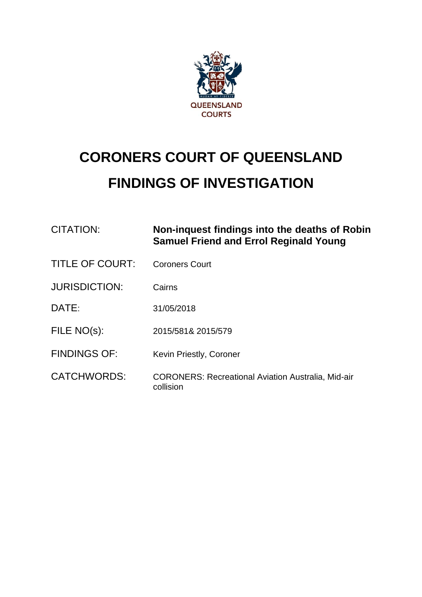

# **CORONERS COURT OF QUEENSLAND FINDINGS OF INVESTIGATION**

| <b>CITATION:</b>       | Non-inquest findings into the deaths of Robin<br><b>Samuel Friend and Errol Reginald Young</b> |
|------------------------|------------------------------------------------------------------------------------------------|
| <b>TITLE OF COURT:</b> | <b>Coroners Court</b>                                                                          |
| <b>JURISDICTION:</b>   | Cairns                                                                                         |
| DATE:                  | 31/05/2018                                                                                     |
| FILE NO(s):            | 2015/581& 2015/579                                                                             |
| <b>FINDINGS OF:</b>    | Kevin Priestly, Coroner                                                                        |
| <b>CATCHWORDS:</b>     | <b>CORONERS: Recreational Aviation Australia, Mid-air</b><br>collision                         |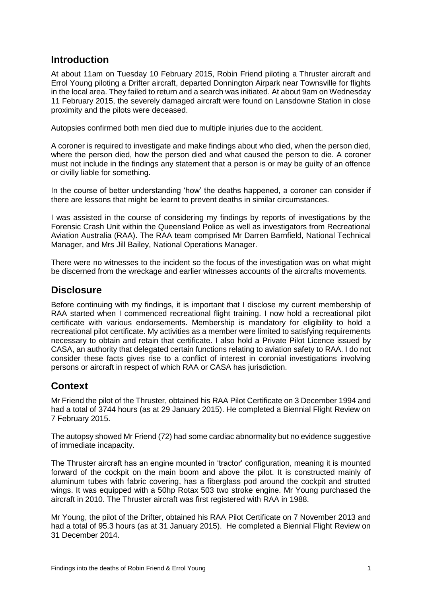#### **Introduction**

At about 11am on Tuesday 10 February 2015, Robin Friend piloting a Thruster aircraft and Errol Young piloting a Drifter aircraft, departed Donnington Airpark near Townsville for flights in the local area. They failed to return and a search was initiated. At about 9am on Wednesday 11 February 2015, the severely damaged aircraft were found on Lansdowne Station in close proximity and the pilots were deceased.

Autopsies confirmed both men died due to multiple injuries due to the accident.

A coroner is required to investigate and make findings about who died, when the person died, where the person died, how the person died and what caused the person to die. A coroner must not include in the findings any statement that a person is or may be guilty of an offence or civilly liable for something.

In the course of better understanding 'how' the deaths happened, a coroner can consider if there are lessons that might be learnt to prevent deaths in similar circumstances.

I was assisted in the course of considering my findings by reports of investigations by the Forensic Crash Unit within the Queensland Police as well as investigators from Recreational Aviation Australia (RAA). The RAA team comprised Mr Darren Barnfield, National Technical Manager, and Mrs Jill Bailey, National Operations Manager.

There were no witnesses to the incident so the focus of the investigation was on what might be discerned from the wreckage and earlier witnesses accounts of the aircrafts movements.

#### **Disclosure**

Before continuing with my findings, it is important that I disclose my current membership of RAA started when I commenced recreational flight training. I now hold a recreational pilot certificate with various endorsements. Membership is mandatory for eligibility to hold a recreational pilot certificate. My activities as a member were limited to satisfying requirements necessary to obtain and retain that certificate. I also hold a Private Pilot Licence issued by CASA, an authority that delegated certain functions relating to aviation safety to RAA. I do not consider these facts gives rise to a conflict of interest in coronial investigations involving persons or aircraft in respect of which RAA or CASA has jurisdiction.

#### **Context**

Mr Friend the pilot of the Thruster, obtained his RAA Pilot Certificate on 3 December 1994 and had a total of 3744 hours (as at 29 January 2015). He completed a Biennial Flight Review on 7 February 2015.

The autopsy showed Mr Friend (72) had some cardiac abnormality but no evidence suggestive of immediate incapacity.

The Thruster aircraft has an engine mounted in 'tractor' configuration, meaning it is mounted forward of the cockpit on the main boom and above the pilot. It is constructed mainly of aluminum tubes with fabric covering, has a fiberglass pod around the cockpit and strutted wings. It was equipped with a 50hp Rotax 503 two stroke engine. Mr Young purchased the aircraft in 2010. The Thruster aircraft was first registered with RAA in 1988.

Mr Young, the pilot of the Drifter, obtained his RAA Pilot Certificate on 7 November 2013 and had a total of 95.3 hours (as at 31 January 2015). He completed a Biennial Flight Review on 31 December 2014.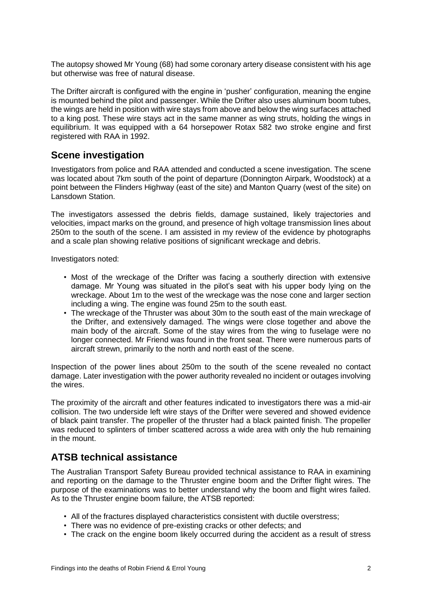The autopsy showed Mr Young (68) had some coronary artery disease consistent with his age but otherwise was free of natural disease.

The Drifter aircraft is configured with the engine in 'pusher' configuration, meaning the engine is mounted behind the pilot and passenger. While the Drifter also uses aluminum boom tubes, the wings are held in position with wire stays from above and below the wing surfaces attached to a king post. These wire stays act in the same manner as wing struts, holding the wings in equilibrium. It was equipped with a 64 horsepower Rotax 582 two stroke engine and first registered with RAA in 1992.

## **Scene investigation**

Investigators from police and RAA attended and conducted a scene investigation. The scene was located about 7km south of the point of departure (Donnington Airpark, Woodstock) at a point between the Flinders Highway (east of the site) and Manton Quarry (west of the site) on Lansdown Station.

The investigators assessed the debris fields, damage sustained, likely trajectories and velocities, impact marks on the ground, and presence of high voltage transmission lines about 250m to the south of the scene. I am assisted in my review of the evidence by photographs and a scale plan showing relative positions of significant wreckage and debris.

Investigators noted:

- Most of the wreckage of the Drifter was facing a southerly direction with extensive damage. Mr Young was situated in the pilot's seat with his upper body lying on the wreckage. About 1m to the west of the wreckage was the nose cone and larger section including a wing. The engine was found 25m to the south east.
- The wreckage of the Thruster was about 30m to the south east of the main wreckage of the Drifter, and extensively damaged. The wings were close together and above the main body of the aircraft. Some of the stay wires from the wing to fuselage were no longer connected. Mr Friend was found in the front seat. There were numerous parts of aircraft strewn, primarily to the north and north east of the scene.

Inspection of the power lines about 250m to the south of the scene revealed no contact damage. Later investigation with the power authority revealed no incident or outages involving the wires.

The proximity of the aircraft and other features indicated to investigators there was a mid-air collision. The two underside left wire stays of the Drifter were severed and showed evidence of black paint transfer. The propeller of the thruster had a black painted finish. The propeller was reduced to splinters of timber scattered across a wide area with only the hub remaining in the mount.

## **ATSB technical assistance**

The Australian Transport Safety Bureau provided technical assistance to RAA in examining and reporting on the damage to the Thruster engine boom and the Drifter flight wires. The purpose of the examinations was to better understand why the boom and flight wires failed. As to the Thruster engine boom failure, the ATSB reported:

- All of the fractures displayed characteristics consistent with ductile overstress;
- There was no evidence of pre-existing cracks or other defects; and
- The crack on the engine boom likely occurred during the accident as a result of stress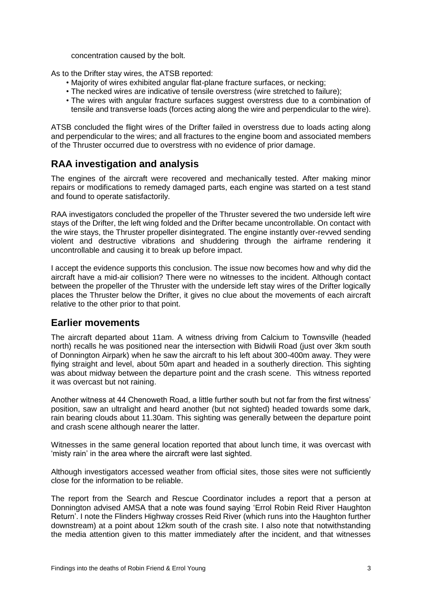concentration caused by the bolt.

As to the Drifter stay wires, the ATSB reported:

- Majority of wires exhibited angular flat-plane fracture surfaces, or necking;
- The necked wires are indicative of tensile overstress (wire stretched to failure);
- The wires with angular fracture surfaces suggest overstress due to a combination of tensile and transverse loads (forces acting along the wire and perpendicular to the wire).

ATSB concluded the flight wires of the Drifter failed in overstress due to loads acting along and perpendicular to the wires; and all fractures to the engine boom and associated members of the Thruster occurred due to overstress with no evidence of prior damage.

## **RAA investigation and analysis**

The engines of the aircraft were recovered and mechanically tested. After making minor repairs or modifications to remedy damaged parts, each engine was started on a test stand and found to operate satisfactorily.

RAA investigators concluded the propeller of the Thruster severed the two underside left wire stays of the Drifter, the left wing folded and the Drifter became uncontrollable. On contact with the wire stays, the Thruster propeller disintegrated. The engine instantly over-revved sending violent and destructive vibrations and shuddering through the airframe rendering it uncontrollable and causing it to break up before impact.

I accept the evidence supports this conclusion. The issue now becomes how and why did the aircraft have a mid-air collision? There were no witnesses to the incident. Although contact between the propeller of the Thruster with the underside left stay wires of the Drifter logically places the Thruster below the Drifter, it gives no clue about the movements of each aircraft relative to the other prior to that point.

#### **Earlier movements**

The aircraft departed about 11am. A witness driving from Calcium to Townsville (headed north) recalls he was positioned near the intersection with Bidwili Road (just over 3km south of Donnington Airpark) when he saw the aircraft to his left about 300-400m away. They were flying straight and level, about 50m apart and headed in a southerly direction. This sighting was about midway between the departure point and the crash scene. This witness reported it was overcast but not raining.

Another witness at 44 Chenoweth Road, a little further south but not far from the first witness' position, saw an ultralight and heard another (but not sighted) headed towards some dark, rain bearing clouds about 11.30am. This sighting was generally between the departure point and crash scene although nearer the latter.

Witnesses in the same general location reported that about lunch time, it was overcast with 'misty rain' in the area where the aircraft were last sighted.

Although investigators accessed weather from official sites, those sites were not sufficiently close for the information to be reliable.

The report from the Search and Rescue Coordinator includes a report that a person at Donnington advised AMSA that a note was found saying 'Errol Robin Reid River Haughton Return'. I note the Flinders Highway crosses Reid River (which runs into the Haughton further downstream) at a point about 12km south of the crash site. I also note that notwithstanding the media attention given to this matter immediately after the incident, and that witnesses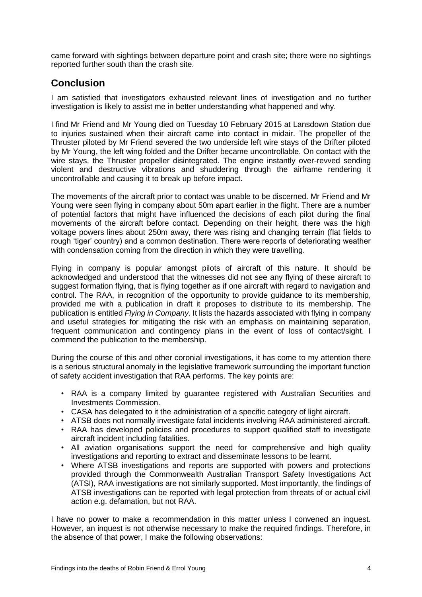came forward with sightings between departure point and crash site; there were no sightings reported further south than the crash site.

## **Conclusion**

I am satisfied that investigators exhausted relevant lines of investigation and no further investigation is likely to assist me in better understanding what happened and why.

I find Mr Friend and Mr Young died on Tuesday 10 February 2015 at Lansdown Station due to injuries sustained when their aircraft came into contact in midair. The propeller of the Thruster piloted by Mr Friend severed the two underside left wire stays of the Drifter piloted by Mr Young, the left wing folded and the Drifter became uncontrollable. On contact with the wire stays, the Thruster propeller disintegrated. The engine instantly over-revved sending violent and destructive vibrations and shuddering through the airframe rendering it uncontrollable and causing it to break up before impact.

The movements of the aircraft prior to contact was unable to be discerned. Mr Friend and Mr Young were seen flying in company about 50m apart earlier in the flight. There are a number of potential factors that might have influenced the decisions of each pilot during the final movements of the aircraft before contact. Depending on their height, there was the high voltage powers lines about 250m away, there was rising and changing terrain (flat fields to rough 'tiger' country) and a common destination. There were reports of deteriorating weather with condensation coming from the direction in which they were travelling.

Flying in company is popular amongst pilots of aircraft of this nature. It should be acknowledged and understood that the witnesses did not see any flying of these aircraft to suggest formation flying, that is flying together as if one aircraft with regard to navigation and control. The RAA, in recognition of the opportunity to provide guidance to its membership, provided me with a publication in draft it proposes to distribute to its membership. The publication is entitled *Flying in Company*. It lists the hazards associated with flying in company and useful strategies for mitigating the risk with an emphasis on maintaining separation, frequent communication and contingency plans in the event of loss of contact/sight. I commend the publication to the membership.

During the course of this and other coronial investigations, it has come to my attention there is a serious structural anomaly in the legislative framework surrounding the important function of safety accident investigation that RAA performs. The key points are:

- RAA is a company limited by guarantee registered with Australian Securities and Investments Commission.
- CASA has delegated to it the administration of a specific category of light aircraft.
- ATSB does not normally investigate fatal incidents involving RAA administered aircraft.
- RAA has developed policies and procedures to support qualified staff to investigate aircraft incident including fatalities.
- All aviation organisations support the need for comprehensive and high quality investigations and reporting to extract and disseminate lessons to be learnt.
- Where ATSB investigations and reports are supported with powers and protections provided through the Commonwealth Australian Transport Safety Investigations Act (ATSI), RAA investigations are not similarly supported. Most importantly, the findings of ATSB investigations can be reported with legal protection from threats of or actual civil action e.g. defamation, but not RAA.

I have no power to make a recommendation in this matter unless I convened an inquest. However, an inquest is not otherwise necessary to make the required findings. Therefore, in the absence of that power, I make the following observations: